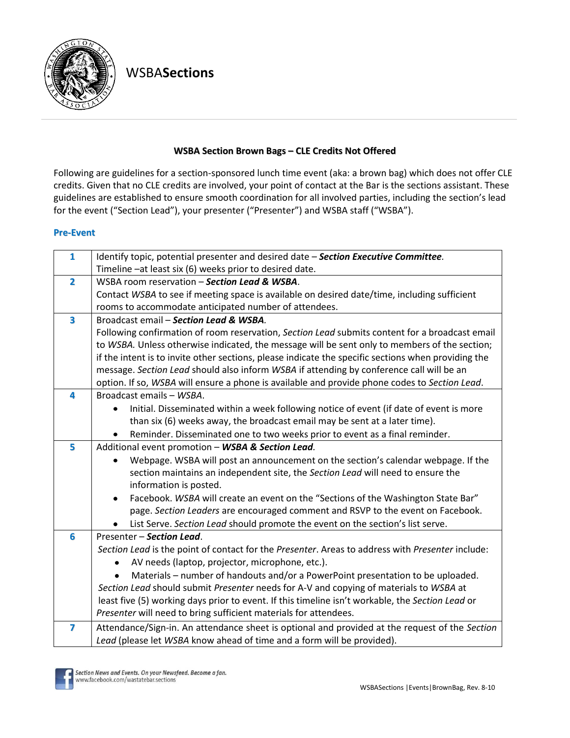

WSBA**Sections**

## **WSBA Section Brown Bags – CLE Credits Not Offered**

Following are guidelines for a section-sponsored lunch time event (aka: a brown bag) which does not offer CLE credits. Given that no CLE credits are involved, your point of contact at the Bar is the sections assistant. These guidelines are established to ensure smooth coordination for all involved parties, including the section's lead for the event ("Section Lead"), your presenter ("Presenter") and WSBA staff ("WSBA").

## **Pre-Event**

| $\mathbf{1}$            | Identify topic, potential presenter and desired date - Section Executive Committee.                 |
|-------------------------|-----------------------------------------------------------------------------------------------------|
|                         | Timeline - at least six (6) weeks prior to desired date.                                            |
| $\overline{\mathbf{2}}$ | WSBA room reservation - Section Lead & WSBA.                                                        |
|                         | Contact WSBA to see if meeting space is available on desired date/time, including sufficient        |
|                         | rooms to accommodate anticipated number of attendees.                                               |
| $\overline{\mathbf{3}}$ | Broadcast email - Section Lead & WSBA.                                                              |
|                         | Following confirmation of room reservation, Section Lead submits content for a broadcast email      |
|                         | to WSBA. Unless otherwise indicated, the message will be sent only to members of the section;       |
|                         | if the intent is to invite other sections, please indicate the specific sections when providing the |
|                         | message. Section Lead should also inform WSBA if attending by conference call will be an            |
|                         | option. If so, WSBA will ensure a phone is available and provide phone codes to Section Lead.       |
| 4                       | Broadcast emails - WSBA.                                                                            |
|                         | Initial. Disseminated within a week following notice of event (if date of event is more             |
|                         | than six (6) weeks away, the broadcast email may be sent at a later time).                          |
|                         | Reminder. Disseminated one to two weeks prior to event as a final reminder.                         |
| 5                       | Additional event promotion - WSBA & Section Lead.                                                   |
|                         | Webpage. WSBA will post an announcement on the section's calendar webpage. If the<br>$\bullet$      |
|                         | section maintains an independent site, the Section Lead will need to ensure the                     |
|                         | information is posted.                                                                              |
|                         | Facebook. WSBA will create an event on the "Sections of the Washington State Bar"                   |
|                         | page. Section Leaders are encouraged comment and RSVP to the event on Facebook.                     |
|                         | List Serve. Section Lead should promote the event on the section's list serve.                      |
| 6                       | Presenter - Section Lead.                                                                           |
|                         | Section Lead is the point of contact for the Presenter. Areas to address with Presenter include:    |
|                         | AV needs (laptop, projector, microphone, etc.).                                                     |
|                         | Materials – number of handouts and/or a PowerPoint presentation to be uploaded.                     |
|                         | Section Lead should submit Presenter needs for A-V and copying of materials to WSBA at              |
|                         | least five (5) working days prior to event. If this timeline isn't workable, the Section Lead or    |
|                         | Presenter will need to bring sufficient materials for attendees.                                    |
| 7                       | Attendance/Sign-in. An attendance sheet is optional and provided at the request of the Section      |
|                         | Lead (please let WSBA know ahead of time and a form will be provided).                              |